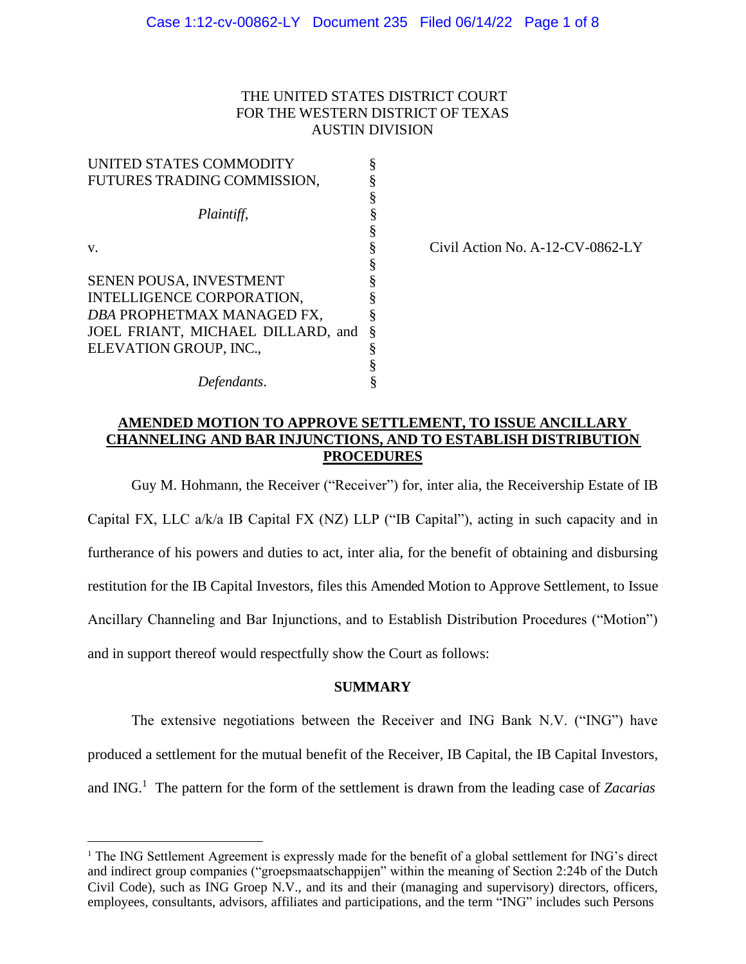# THE UNITED STATES DISTRICT COURT FOR THE WESTERN DISTRICT OF TEXAS AUSTIN DIVISION

| UNITED STATES COMMODITY           |   |
|-----------------------------------|---|
| FUTURES TRADING COMMISSION,       |   |
|                                   | § |
| Plaintiff,                        | § |
|                                   | ş |
| v.                                | § |
|                                   | § |
| SENEN POUSA, INVESTMENT           |   |
| INTELLIGENCE CORPORATION,         |   |
| DBA PROPHETMAX MANAGED FX,        | § |
| JOEL FRIANT, MICHAEL DILLARD, and | § |
| ELEVATION GROUP, INC.,            | § |
|                                   |   |
| Defendants.                       |   |

 $Civil$  Action No. A-12- $CV-0862$ -LY

# **AMENDED MOTION TO APPROVE SETTLEMENT, TO ISSUE ANCILLARY CHANNELING AND BAR INJUNCTIONS, AND TO ESTABLISH DISTRIBUTION PROCEDURES**

Guy M. Hohmann, the Receiver ("Receiver") for, inter alia, the Receivership Estate of IB Capital FX, LLC a/k/a IB Capital FX (NZ) LLP ("IB Capital"), acting in such capacity and in furtherance of his powers and duties to act, inter alia, for the benefit of obtaining and disbursing restitution for the IB Capital Investors, files this Amended Motion to Approve Settlement, to Issue Ancillary Channeling and Bar Injunctions, and to Establish Distribution Procedures ("Motion") and in support thereof would respectfully show the Court as follows:

## **SUMMARY**

The extensive negotiations between the Receiver and ING Bank N.V. ("ING") have produced a settlement for the mutual benefit of the Receiver, IB Capital, the IB Capital Investors, and ING.<sup>1</sup> The pattern for the form of the settlement is drawn from the leading case of *Zacarias*

<sup>&</sup>lt;sup>1</sup> The ING Settlement Agreement is expressly made for the benefit of a global settlement for ING's direct and indirect group companies ("groepsmaatschappijen" within the meaning of Section 2:24b of the Dutch Civil Code), such as ING Groep N.V., and its and their (managing and supervisory) directors, officers, employees, consultants, advisors, affiliates and participations, and the term "ING" includes such Persons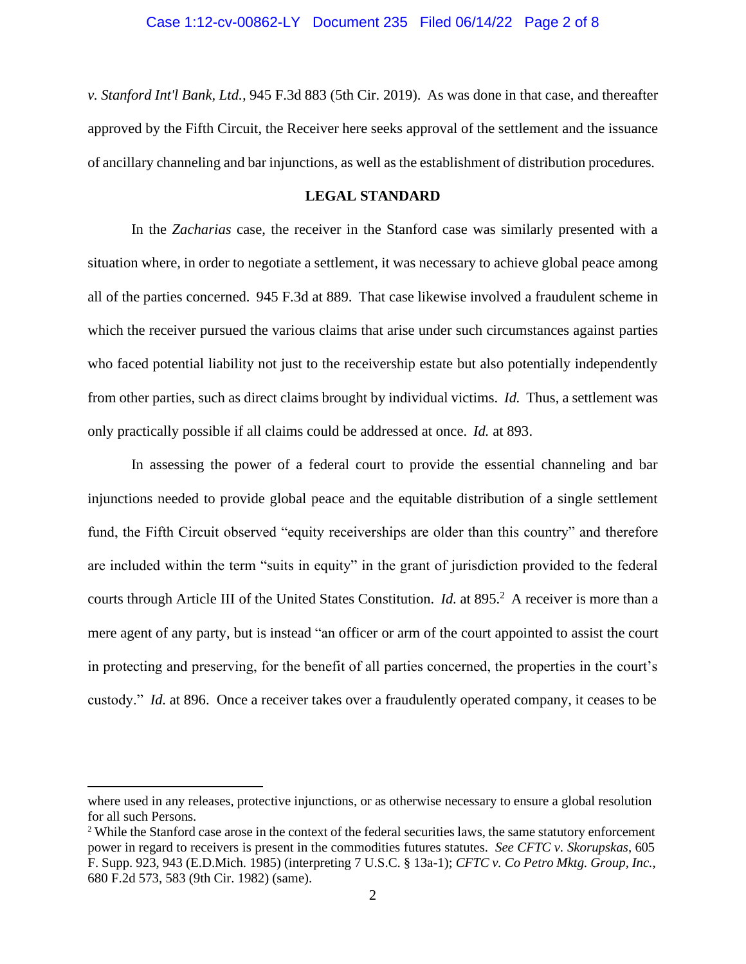*v. Stanford Int'l Bank, Ltd.,* 945 F.3d 883 (5th Cir. 2019). As was done in that case, and thereafter approved by the Fifth Circuit, the Receiver here seeks approval of the settlement and the issuance of ancillary channeling and bar injunctions, as well as the establishment of distribution procedures.

#### **LEGAL STANDARD**

In the *Zacharias* case, the receiver in the Stanford case was similarly presented with a situation where, in order to negotiate a settlement, it was necessary to achieve global peace among all of the parties concerned. 945 F.3d at 889. That case likewise involved a fraudulent scheme in which the receiver pursued the various claims that arise under such circumstances against parties who faced potential liability not just to the receivership estate but also potentially independently from other parties, such as direct claims brought by individual victims. *Id.* Thus, a settlement was only practically possible if all claims could be addressed at once. *Id.* at 893.

In assessing the power of a federal court to provide the essential channeling and bar injunctions needed to provide global peace and the equitable distribution of a single settlement fund, the Fifth Circuit observed "equity receiverships are older than this country" and therefore are included within the term "suits in equity" in the grant of jurisdiction provided to the federal courts through Article III of the United States Constitution. *Id.* at 895.<sup>2</sup> A receiver is more than a mere agent of any party, but is instead "an officer or arm of the court appointed to assist the court in protecting and preserving, for the benefit of all parties concerned, the properties in the court's custody." *Id.* at 896. Once a receiver takes over a fraudulently operated company, it ceases to be

where used in any releases, protective injunctions, or as otherwise necessary to ensure a global resolution for all such Persons.

<sup>&</sup>lt;sup>2</sup> While the Stanford case arose in the context of the federal securities laws, the same statutory enforcement power in regard to receivers is present in the commodities futures statutes. *See CFTC v. Skorupskas*, 605 F. Supp. 923, 943 (E.D.Mich. 1985) (interpreting 7 U.S.C. § 13a-1); *CFTC v. Co Petro Mktg. Group, Inc.*, 680 F.2d 573, 583 (9th Cir. 1982) (same).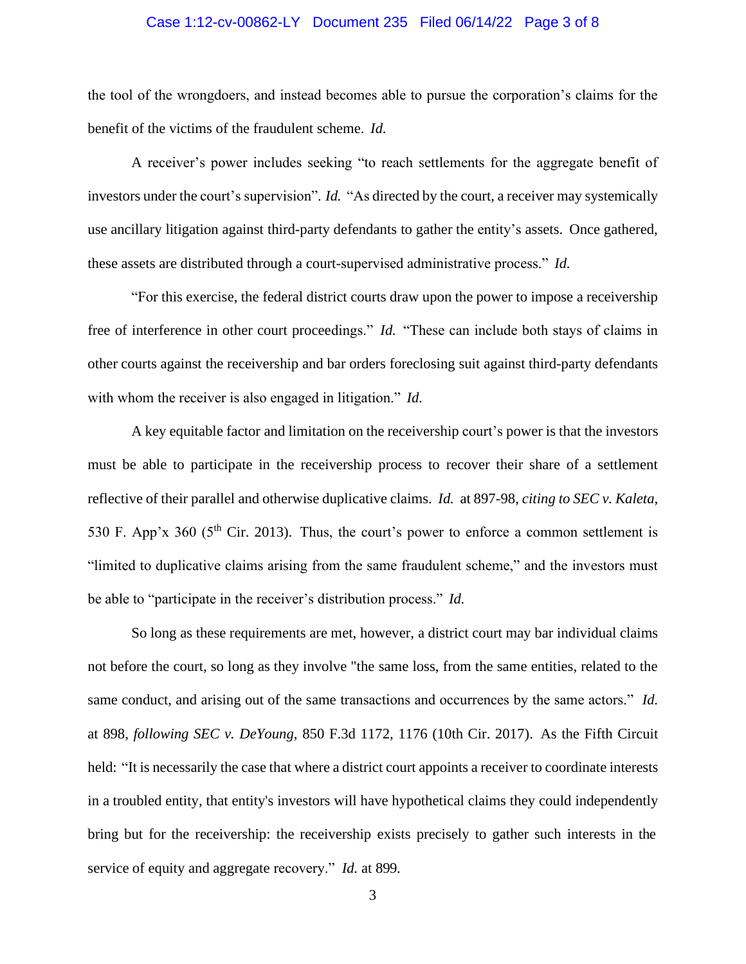#### Case 1:12-cv-00862-LY Document 235 Filed 06/14/22 Page 3 of 8

the tool of the wrongdoers, and instead becomes able to pursue the corporation's claims for the benefit of the victims of the fraudulent scheme. *Id.*

A receiver's power includes seeking "to reach settlements for the aggregate benefit of investors under the court's supervision". *Id.* "As directed by the court, a receiver may systemically use ancillary litigation against third-party defendants to gather the entity's assets. Once gathered, these assets are distributed through a court-supervised administrative process." *Id.*

"For this exercise, the federal district courts draw upon the power to impose a receivership free of interference in other court proceedings." *Id.* "These can include both stays of claims in other courts against the receivership and bar orders foreclosing suit against third-party defendants with whom the receiver is also engaged in litigation." *Id.*

A key equitable factor and limitation on the receivership court's power is that the investors must be able to participate in the receivership process to recover their share of a settlement reflective of their parallel and otherwise duplicative claims. *Id.* at 897-98, *citing to SEC v. Kaleta*, 530 F. App'x 360 (5<sup>th</sup> Cir. 2013). Thus, the court's power to enforce a common settlement is "limited to duplicative claims arising from the same fraudulent scheme," and the investors must be able to "participate in the receiver's distribution process." *Id.*

So long as these requirements are met, however, a district court may bar individual claims not before the court, so long as they involve "the same loss, from the same entities, related to the same conduct, and arising out of the same transactions and occurrences by the same actors." *Id.*  at 898, *following SEC v. DeYoung,* 850 F.3d 1172, 1176 (10th Cir. 2017). As the Fifth Circuit held: "It is necessarily the case that where a district court appoints a receiver to coordinate interests in a troubled entity, that entity's investors will have hypothetical claims they could independently bring but for the receivership: the receivership exists precisely to gather such interests in the service of equity and aggregate recovery." *Id.* at 899.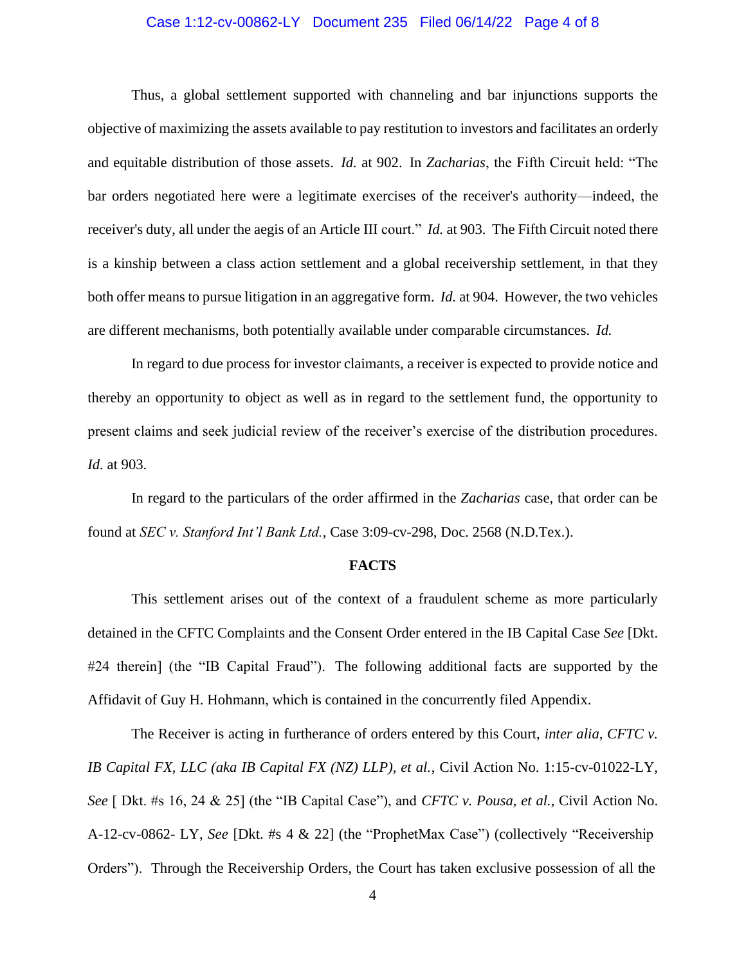## Case 1:12-cv-00862-LY Document 235 Filed 06/14/22 Page 4 of 8

Thus, a global settlement supported with channeling and bar injunctions supports the objective of maximizing the assets available to pay restitution to investors and facilitates an orderly and equitable distribution of those assets. *Id.* at 902. In *Zacharias*, the Fifth Circuit held: "The bar orders negotiated here were a legitimate exercises of the receiver's authority—indeed, the receiver's duty, all under the aegis of an Article III court." *Id.* at 903. The Fifth Circuit noted there is a kinship between a class action settlement and a global receivership settlement, in that they both offer means to pursue litigation in an aggregative form. *Id.* at 904. However, the two vehicles are different mechanisms, both potentially available under comparable circumstances. *Id.*

In regard to due process for investor claimants, a receiver is expected to provide notice and thereby an opportunity to object as well as in regard to the settlement fund, the opportunity to present claims and seek judicial review of the receiver's exercise of the distribution procedures. *Id.* at 903.

In regard to the particulars of the order affirmed in the *Zacharias* case, that order can be found at *SEC v. Stanford Int'l Bank Ltd.*, Case 3:09-cv-298, Doc. 2568 (N.D.Tex.).

#### **FACTS**

This settlement arises out of the context of a fraudulent scheme as more particularly detained in the CFTC Complaints and the Consent Order entered in the IB Capital Case *See* [Dkt. #24 therein] (the "IB Capital Fraud"). The following additional facts are supported by the Affidavit of Guy H. Hohmann, which is contained in the concurrently filed Appendix.

The Receiver is acting in furtherance of orders entered by this Court, *inter alia, CFTC v. IB Capital FX, LLC (aka IB Capital FX (NZ) LLP), et al.*, Civil Action No. 1:15-cv-01022-LY, *See* [ Dkt. #s 16, 24 & 25] (the "IB Capital Case"), and *CFTC v. Pousa, et al.,* Civil Action No. A-12-cv-0862- LY, *See* [Dkt. #s 4 & 22] (the "ProphetMax Case") (collectively "Receivership Orders"). Through the Receivership Orders, the Court has taken exclusive possession of all the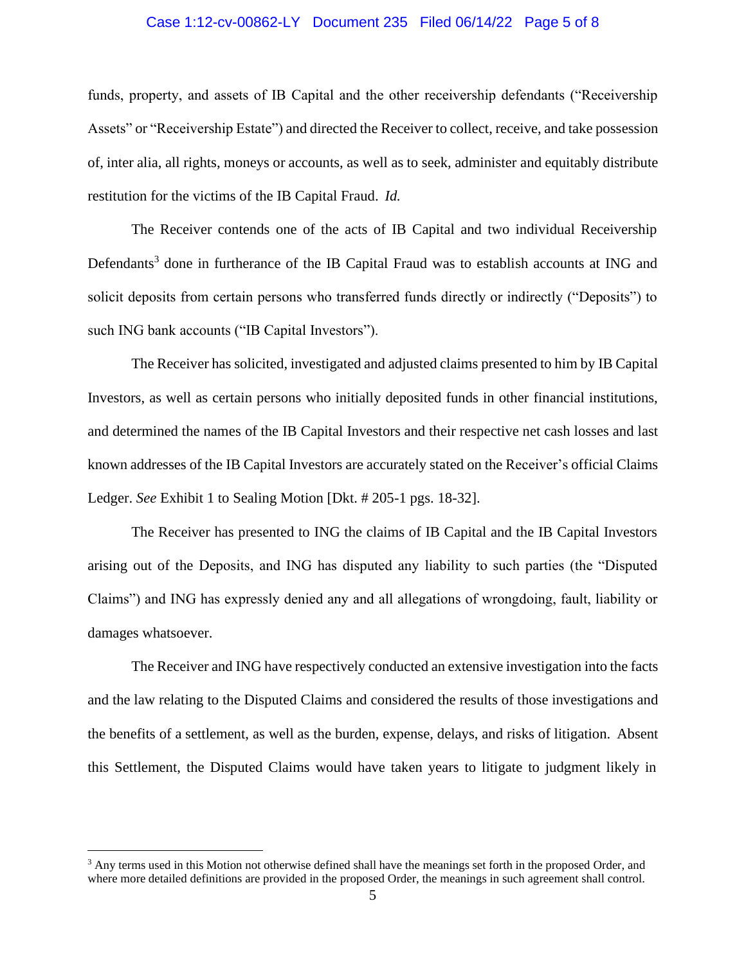## Case 1:12-cv-00862-LY Document 235 Filed 06/14/22 Page 5 of 8

funds, property, and assets of IB Capital and the other receivership defendants ("Receivership Assets" or "Receivership Estate") and directed the Receiver to collect, receive, and take possession of, inter alia, all rights, moneys or accounts, as well as to seek, administer and equitably distribute restitution for the victims of the IB Capital Fraud. *Id.*

The Receiver contends one of the acts of IB Capital and two individual Receivership Defendants<sup>3</sup> done in furtherance of the IB Capital Fraud was to establish accounts at ING and solicit deposits from certain persons who transferred funds directly or indirectly ("Deposits") to such ING bank accounts ("IB Capital Investors").

The Receiver has solicited, investigated and adjusted claims presented to him by IB Capital Investors, as well as certain persons who initially deposited funds in other financial institutions, and determined the names of the IB Capital Investors and their respective net cash losses and last known addresses of the IB Capital Investors are accurately stated on the Receiver's official Claims Ledger. *See* Exhibit 1 to Sealing Motion [Dkt. # 205-1 pgs. 18-32].

The Receiver has presented to ING the claims of IB Capital and the IB Capital Investors arising out of the Deposits, and ING has disputed any liability to such parties (the "Disputed Claims") and ING has expressly denied any and all allegations of wrongdoing, fault, liability or damages whatsoever.

The Receiver and ING have respectively conducted an extensive investigation into the facts and the law relating to the Disputed Claims and considered the results of those investigations and the benefits of a settlement, as well as the burden, expense, delays, and risks of litigation. Absent this Settlement, the Disputed Claims would have taken years to litigate to judgment likely in

 $3$  Any terms used in this Motion not otherwise defined shall have the meanings set forth in the proposed Order, and where more detailed definitions are provided in the proposed Order, the meanings in such agreement shall control.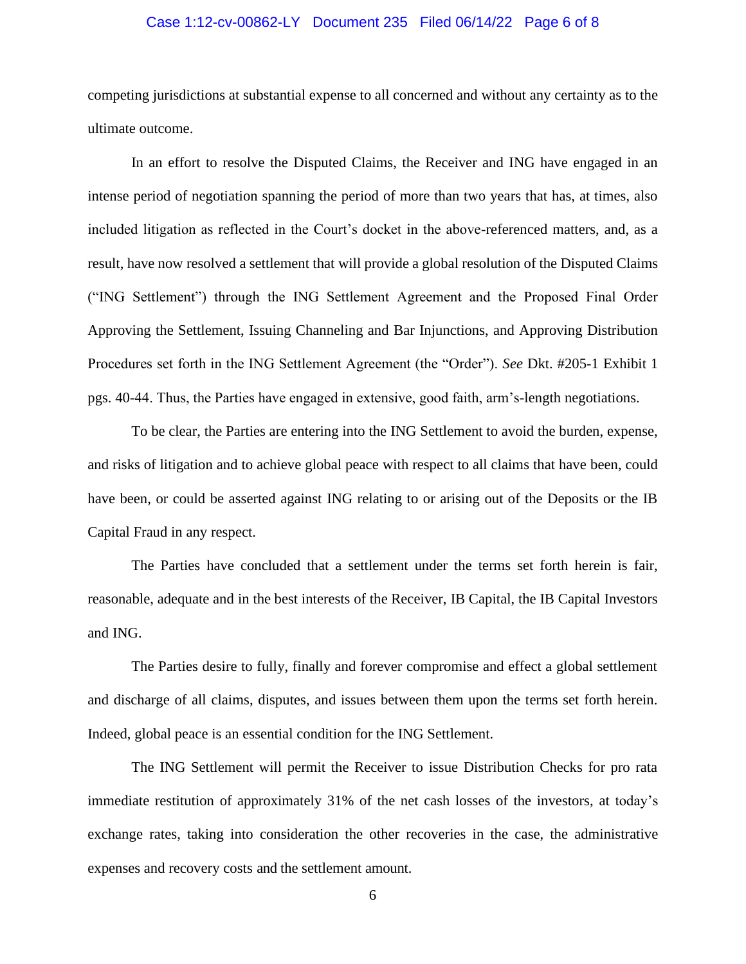## Case 1:12-cv-00862-LY Document 235 Filed 06/14/22 Page 6 of 8

competing jurisdictions at substantial expense to all concerned and without any certainty as to the ultimate outcome.

In an effort to resolve the Disputed Claims, the Receiver and ING have engaged in an intense period of negotiation spanning the period of more than two years that has, at times, also included litigation as reflected in the Court's docket in the above-referenced matters, and, as a result, have now resolved a settlement that will provide a global resolution of the Disputed Claims ("ING Settlement") through the ING Settlement Agreement and the Proposed Final Order Approving the Settlement, Issuing Channeling and Bar Injunctions, and Approving Distribution Procedures set forth in the ING Settlement Agreement (the "Order"). *See* Dkt. #205-1 Exhibit 1 pgs. 40-44. Thus, the Parties have engaged in extensive, good faith, arm's-length negotiations.

To be clear, the Parties are entering into the ING Settlement to avoid the burden, expense, and risks of litigation and to achieve global peace with respect to all claims that have been, could have been, or could be asserted against ING relating to or arising out of the Deposits or the IB Capital Fraud in any respect.

The Parties have concluded that a settlement under the terms set forth herein is fair, reasonable, adequate and in the best interests of the Receiver, IB Capital, the IB Capital Investors and ING.

The Parties desire to fully, finally and forever compromise and effect a global settlement and discharge of all claims, disputes, and issues between them upon the terms set forth herein. Indeed, global peace is an essential condition for the ING Settlement.

The ING Settlement will permit the Receiver to issue Distribution Checks for pro rata immediate restitution of approximately 31% of the net cash losses of the investors, at today's exchange rates, taking into consideration the other recoveries in the case, the administrative expenses and recovery costs and the settlement amount.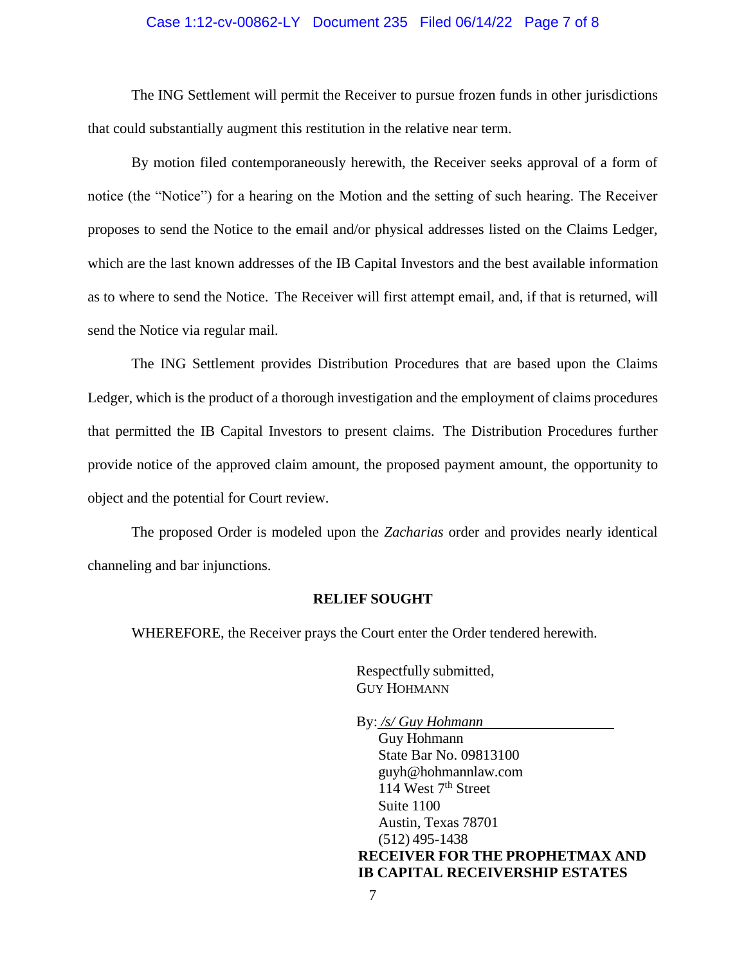## Case 1:12-cv-00862-LY Document 235 Filed 06/14/22 Page 7 of 8

The ING Settlement will permit the Receiver to pursue frozen funds in other jurisdictions that could substantially augment this restitution in the relative near term.

By motion filed contemporaneously herewith, the Receiver seeks approval of a form of notice (the "Notice") for a hearing on the Motion and the setting of such hearing. The Receiver proposes to send the Notice to the email and/or physical addresses listed on the Claims Ledger, which are the last known addresses of the IB Capital Investors and the best available information as to where to send the Notice. The Receiver will first attempt email, and, if that is returned, will send the Notice via regular mail.

The ING Settlement provides Distribution Procedures that are based upon the Claims Ledger, which is the product of a thorough investigation and the employment of claims procedures that permitted the IB Capital Investors to present claims. The Distribution Procedures further provide notice of the approved claim amount, the proposed payment amount, the opportunity to object and the potential for Court review.

The proposed Order is modeled upon the *Zacharias* order and provides nearly identical channeling and bar injunctions.

#### **RELIEF SOUGHT**

WHEREFORE, the Receiver prays the Court enter the Order tendered herewith.

Respectfully submitted, GUY HOHMANN

By: */s/ Guy Hohmann* Guy Hohmann State Bar No. 09813100 guyh@hohmannlaw.com 114 West  $7<sup>th</sup>$  Street Suite 1100 Austin, Texas 78701 (512) 495-1438 **RECEIVER FOR THE PROPHETMAX AND IB CAPITAL RECEIVERSHIP ESTATES**